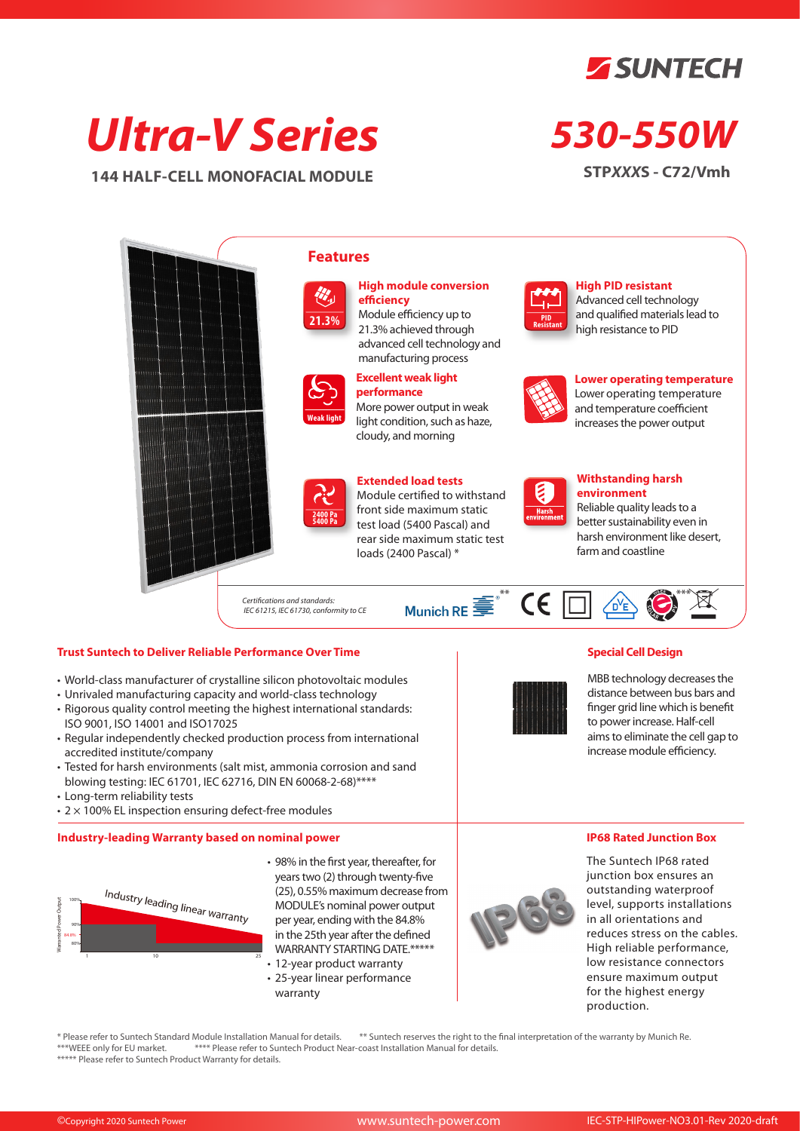

# *Ultra-V Series*

**144 HALF-CELL MONOFACIAL MODULE**

## *530-550W*

**STP***XXX***S - C72/Vmh**



#### **Trust Suntech to Deliver Reliable Performance Over Time**

- World-class manufacturer of crystalline silicon photovoltaic modules
- Unrivaled manufacturing capacity and world-class technology
- Rigorous quality control meeting the highest international standards: ISO 9001, ISO 14001 and ISO17025
- Regular independently checked production process from international accredited institute/company
- Tested for harsh environments (salt mist, ammonia corrosion and sand blowing testing: IEC 61701, IEC 62716, DIN EN 60068-2-68)\*\*\*\*
- Long-term reliability tests
- 2 × 100% EL inspection ensuring defect-free modules

#### **Industry-leading Warranty based on nominal power**



- 98% in the first year, thereafter, for years two (2) through twenty-five (25), 0.55% maximum decrease from MODULE's nominal power output per year, ending with the 84.8% in the 25th year after the defined WARRANTY STARTING DATE.\*\*\*\*\*
- 12-year product warranty
- 25-year linear performance warranty



The Suntech IP68 rated junction box ensures an outstanding waterproof level, supports installations in all orientations and reduces stress on the cables. High reliable performance, low resistance connectors ensure maximum output for the highest energy production.

**IP68 Rated Junction Box** 

**Special Cell Design**

MBB technology decreases the distance between bus bars and finger grid line which is benefit to power increase. Half-cell aims to eliminate the cell gap to increase module efficiency.

\* Please refer to Suntech Standard Module Installation Manual for details. \*\*\* Suntech reserves the right to the final interpretation of the warranty by Munich Re.<br>\*\*\*WEEE only for EU market. \*\*\*\* Please refer to Suntech P \*\*\*\* Please refer to Suntech Product Near-coast Installation Manual for details. \*\*\*\*\* Please refer to Suntech Product Warranty for details.